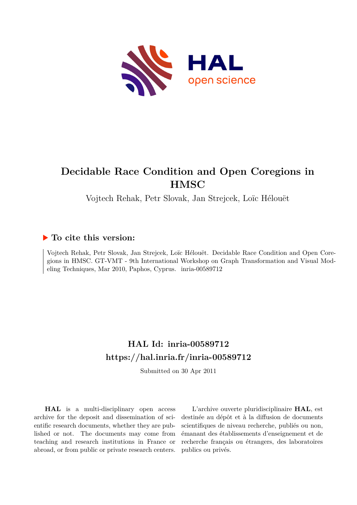

# **Decidable Race Condition and Open Coregions in HMSC**

Vojtech Rehak, Petr Slovak, Jan Strejcek, Loïc Hélouët

## **To cite this version:**

Vojtech Rehak, Petr Slovak, Jan Strejcek, Loïc Hélouët. Decidable Race Condition and Open Coregions in HMSC. GT-VMT - 9th International Workshop on Graph Transformation and Visual Modeling Techniques, Mar 2010, Paphos, Cyprus. inria-00589712

# **HAL Id: inria-00589712 <https://hal.inria.fr/inria-00589712>**

Submitted on 30 Apr 2011

**HAL** is a multi-disciplinary open access archive for the deposit and dissemination of scientific research documents, whether they are published or not. The documents may come from teaching and research institutions in France or abroad, or from public or private research centers.

L'archive ouverte pluridisciplinaire **HAL**, est destinée au dépôt et à la diffusion de documents scientifiques de niveau recherche, publiés ou non, émanant des établissements d'enseignement et de recherche français ou étrangers, des laboratoires publics ou privés.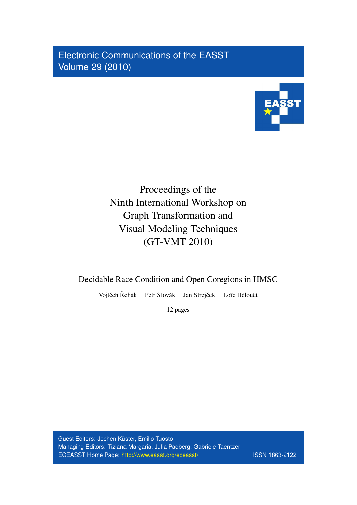Electronic Communications of the EASST Volume 29 (2010)



# Proceedings of the Ninth International Workshop on Graph Transformation and Visual Modeling Techniques (GT-VMT 2010)

Decidable Race Condition and Open Coregions in HMSC

Vojtěch Řehák Petr Slovák Jan Strejček Loïc Hélouët

12 pages

Guest Editors: Jochen Küster, Emilio Tuosto Managing Editors: Tiziana Margaria, Julia Padberg, Gabriele Taentzer ECEASST Home Page: <http://www.easst.org/eceasst/> ISSN 1863-2122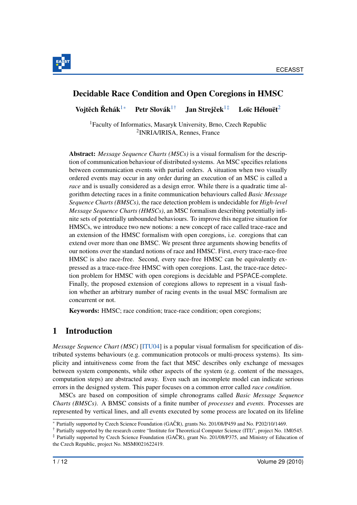

# Decidable Race Condition and Open Coregions in HMSC

<span id="page-2-4"></span><span id="page-2-0"></span>Voitěch Řehák<sup>[1](#page-2-0)[∗](#page-2-1)</sup> Petr Slovák<sup>1[†](#page-2-2)</sup> Jan Streiček<sup>1‡</sup> Loïc Hélouët $2$ 

<sup>1</sup>Faculty of Informatics, Masaryk University, Brno, Czech Republic 2 INRIA/IRISA, Rennes, France

Abstract: *Message Sequence Charts (MSCs)* is a visual formalism for the description of communication behaviour of distributed systems. An MSC specifies relations between communication events with partial orders. A situation when two visually ordered events may occur in any order during an execution of an MSC is called a *race* and is usually considered as a design error. While there is a quadratic time algorithm detecting races in a finite communication behaviours called *Basic Message Sequence Charts (BMSCs)*, the race detection problem is undecidable for *High-level Message Sequence Charts (HMSCs)*, an MSC formalism describing potentially infinite sets of potentially unbounded behaviours. To improve this negative situation for HMSCs, we introduce two new notions: a new concept of race called trace-race and an extension of the HMSC formalism with open coregions, i.e. coregions that can extend over more than one BMSC. We present three arguments showing benefits of our notions over the standard notions of race and HMSC. First, every trace-race-free HMSC is also race-free. Second, every race-free HMSC can be equivalently expressed as a trace-race-free HMSC with open coregions. Last, the trace-race detection problem for HMSC with open coregions is decidable and PSPACE-complete. Finally, the proposed extension of coregions allows to represent in a visual fashion whether an arbitrary number of racing events in the usual MSC formalism are concurrent or not.

Keywords: HMSC; race condition; trace-race condition; open coregions;

## <span id="page-2-5"></span>1 Introduction

*Message Sequence Chart (MSC)* [\[ITU04\]](#page-13-0) is a popular visual formalism for specification of distributed systems behaviours (e.g. communication protocols or multi-process systems). Its simplicity and intuitiveness come from the fact that MSC describes only exchange of messages between system components, while other aspects of the system (e.g. content of the messages, computation steps) are abstracted away. Even such an incomplete model can indicate serious errors in the designed system. This paper focuses on a common error called *race condition*.

MSCs are based on composition of simple chronograms called *Basic Message Sequence Charts (BMSCs)*. A BMSC consists of a finite number of *processes* and *events*. Processes are represented by vertical lines, and all events executed by some process are located on its lifeline

<span id="page-2-1"></span><sup>∗</sup> Partially supported by Czech Science Foundation (GACR), grants No. 201/08/P459 and No. P202/10/1469. ˇ

<span id="page-2-2"></span><sup>†</sup> Partially supported by the research centre "Institute for Theoretical Computer Science (ITI)", project No. 1M0545.

<span id="page-2-3"></span> $\ddot{\tau}$  Partially supported by Czech Science Foundation (GAČR), grant No. 201/08/P375, and Ministry of Education of the Czech Republic, project No. MSM0021622419.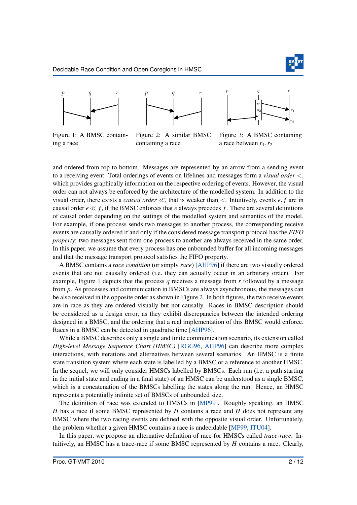

<span id="page-3-0"></span>





Figure 1: A BMSC containing a race

Figure 2: A similar BMSC containing a race

Figure 3: A BMSC containing a race between  $r_1, r_2$ 

and ordered from top to bottom. Messages are represented by an arrow from a sending event to a receiving event. Total orderings of events on lifelines and messages form a *visual order* <, which provides graphically information on the respective ordering of events. However, the visual order can not always be enforced by the architecture of the modelled system. In addition to the visual order, there exists a *causal order* ≪, that is weaker than <. Intuitively, events *e*, *f* are in causal order  $e \ll f$ , if the BMSC enforces that *e* always precedes *f*. There are several definitions of causal order depending on the settings of the modelled system and semantics of the model. For example, if one process sends two messages to another process, the corresponding receive events are causally ordered if and only if the considered message transport protocol has the *FIFO property*: two messages sent from one process to another are always received in the same order. In this paper, we assume that every process has one unbounded buffer for all incoming messages and that the message transport protocol satisfies the FIFO property.

A BMSC contains a *race condition* (or simply *race*) [\[AHP96\]](#page-13-1) if there are two visually ordered events that are not causally ordered (i.e. they can actually occur in an arbitrary order). For example, Figure [1](#page-3-0) depicts that the process *q* receives a message from *r* followed by a message from *p*. As processes and communication in BMSCs are always asynchronous, the messages can be also received in the opposite order as shown in Figure [2.](#page-3-0) In both figures, the two receive events are in race as they are ordered visually but not causally. Races in BMSC description should be considered as a design error, as they exhibit discrepancies between the intended ordering designed in a BMSC, and the ordering that a real implementation of this BMSC would enforce. Races in a BMSC can be detected in quadratic time [\[AHP96\]](#page-13-1).

While a BMSC describes only a single and finite communication scenario, its extension called *High-level Message Sequence Chart (HMSC)* [\[RGG96,](#page-13-2) [AHP96\]](#page-13-1) can describe more complex interactions, with iterations and alternatives between several scenarios. An HMSC is a finite state transition system where each state is labelled by a BMSC or a reference to another HMSC. In the sequel, we will only consider HMSCs labelled by BMSCs. Each run (i.e. a path starting in the initial state and ending in a final state) of an HMSC can be understood as a single BMSC, which is a concatenation of the BMSCs labelling the states along the run. Hence, an HMSC represents a potentially infinite set of BMSCs of unbounded size.

The definition of race was extended to HMSCs in [\[MP99\]](#page-13-3). Roughly speaking, an HMSC *H* has a race if some BMSC represented by *H* contains a race and *H* does not represent any BMSC where the two racing events are defined with the opposite visual order. Unfortunately, the problem whether a given HMSC contains a race is undecidable [\[MP99,](#page-13-3) [ITU04\]](#page-13-0).

In this paper, we propose an alternative definition of race for HMSCs called *trace-race*. Intuitively, an HMSC has a trace-race if some BMSC represented by *H* contains a race. Clearly,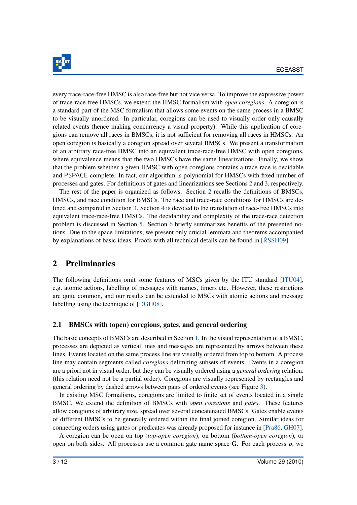

every trace-race-free HMSC is also race-free but not vice versa. To improve the expressive power of trace-race-free HMSCs, we extend the HMSC formalism with *open coregions*. A coregion is a standard part of the MSC formalism that allows some events on the same process in a BMSC to be visually unordered. In particular, coregions can be used to visually order only causally related events (hence making concurrency a visual property). While this application of coregions can remove all races in BMSCs, it is not sufficient for removing all races in HMSCs. An open coregion is basically a coregion spread over several BMSCs. We present a transformation of an arbitrary race-free HMSC into an equivalent trace-race-free HMSC with open coregions, where equivalence means that the two HMSCs have the same linearizations. Finally, we show that the problem whether a given HMSC with open coregions contains a trace-race is decidable and PSPACE-complete. In fact, our algorithm is polynomial for HMSCs with fixed number of processes and gates. For definitions of gates and linearizations see Sections [2](#page-4-0) and [3,](#page-8-0) respectively.

The rest of the paper is organized as follows. Section [2](#page-4-0) recalls the definitions of BMSCs, HMSCs, and race condition for BMSCs. The race and trace-race conditions for HMSCs are defined and compared in Section [3.](#page-8-0) Section [4](#page-10-0) is devoted to the translation of race-free HMSCs into equivalent trace-race-free HMSCs. The decidability and complexity of the trace-race detection problem is discussed in Section [5.](#page-11-0) Section [6](#page-13-4) briefly summarizes benefits of the presented notions. Due to the space limitations, we present only crucial lemmata and theorems accompanied by explanations of basic ideas. Proofs with all technical details can be found in  $[\text{RSSH09}]$ .

# <span id="page-4-0"></span>2 Preliminaries

The following definitions omit some features of MSCs given by the ITU standard [\[ITU04\]](#page-13-0), e.g. atomic actions, labelling of messages with names, timers etc. However, these restrictions are quite common, and our results can be extended to MSCs with atomic actions and message labelling using the technique of [\[DGH08\]](#page-13-6).

#### 2.1 BMSCs with (open) coregions, gates, and general ordering

The basic concepts of BMSCs are described in Section [1.](#page-2-5) In the visual representation of a BMSC, processes are depicted as vertical lines and messages are represented by arrows between these lines. Events located on the same process line are visually ordered from top to bottom. A process line may contain segments called *coregions* delimiting subsets of events. Events in a coregion are a priori not in visual order, but they can be visually ordered using a *general ordering* relation. (this relation need not be a partial order). Coregions are visually represented by rectangles and general ordering by dashed arrows between pairs of ordered events (see Figure [3\)](#page-3-0).

In existing MSC formalisms, coregions are limited to finite set of events located in a single BMSC. We extend the definition of BMSCs with *open coregions* and *gates*. These features allow coregions of arbitrary size, spread over several concatenated BMSCs. Gates enable events of different BMSCs to be generally ordered within the final joined coregion. Similar ideas for connecting orders using gates or predicates was already proposed for instance in [\[Pra86,](#page-13-7) [GH07\]](#page-13-8).

A coregion can be open on top (*top-open coregion*), on bottom (*bottom-open coregion*), or open on both sides. All processes use a common gate name space G. For each process *p*, we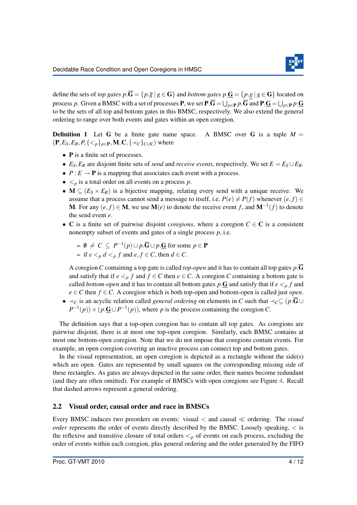

define the sets of *top gates*  $p.\overline{G} = \{p.\overline{g} \mid g \in G\}$  and *bottom gates*  $p.\underline{G} = \{p.g \mid g \in G\}$  located on process *p*. Given a BMSC with a set of processes **P**, we set  $P.G = \bigcup_{p \in P} p.G$  and  $P.G = \bigcup_{p \in P} p.G$ to be the sets of all top and bottom gates in this BMSC, respectively. We also extend the general ordering to range over both events and gates within an open coregion.

**Definition 1** Let G be a finite gate name space. A BMSC over G is a tuple  $M =$  $(\mathbf{P}, E_S, E_R, P, \{ where$ 

- **P** is a finite set of processes.
- $E_S$ ,  $E_R$  are disjoint finite sets of *send* and *receive events*, respectively. We set  $E = E_S \cup E_R$ .
- $P: E \to \mathbf{P}$  is a mapping that associates each event with a process.
- $\bullet \leq_{p}$  is a total order on all events on a process *p*.
- $M \subseteq (E_S \times E_R)$  is a bijective mapping, relating every send with a unique receive. We assume that a process cannot send a message to itself, i.e.  $P(e) \neq P(f)$  whenever  $(e, f) \in$ M. For any  $(e, f) \in M$ , we use  $M(e)$  to denote the receive event *f*, and  $M^{-1}(f)$  to denote the send event *e*.
- C is a finite set of pairwise disjoint *coregions*, where a coregion *C* ∈ C is a consistent nonempty subset of events and gates of a single process *p*, i.e.

$$
- \emptyset \neq C \subseteq P^{-1}(p) \cup p \cdot \overline{G} \cup p \cdot \underline{G} \text{ for some } p \in P
$$
  
- if  $e <_p d <_p f$  and  $e, f \in C$ , then  $d \in C$ .

A coregion*C* containing a top gate is called *top-open* and it has to contain all top gates *p*.G and satisfy that if  $e \leq p$  *f* and  $f \in C$  then  $e \in C$ . A coregion *C* containing a bottom gate is called *bottom-open* and it has to contain all bottom gates  $p \cdot \mathbf{G}$  and satisfy that if  $e \leq p f$  and *e* ∈*C* then *f* ∈*C*. A coregion which is both top-open and bottom-open is called just *open*.

• ≺*<sup>C</sup>* is an acyclic relation called *general ordering* on elements in *C* such that ≺*C*⊆ (*p*.G∪  $P^{-1}(p)$  × ( $p \cdot \mathbf{G} \cup P^{-1}(p)$ ), where *p* is the process containing the coregion *C*.

The definition says that a top-open coregion has to contain all top gates. As coregions are pairwise disjoint, there is at most one top-open coregion. Similarly, each BMSC contains at most one bottom-open coregion. Note that we do not impose that coregions contain events. For example, an open coregion covering an inactive process can connect top and bottom gates.

In the visual representation, an open coregion is depicted as a rectangle without the side(s) which are open. Gates are represented by small squares on the corresponding missing side of these rectangles. As gates are always depicted in the same order, their names become redundant (and they are often omitted). For example of BMSCs with open coregions see Figure [4.](#page-8-1) Recall that dashed arrows represent a general ordering.

#### 2.2 Visual order, causal order and race in BMSCs

Every BMSC induces two preorders on events: visual < and causal ≪ ordering. The *visual order* represents the order of events directly described by the BMSC. Loosely speaking,  $\lt$  is the reflexive and transitive closure of total orders  $\lt_p$  of events on each process, excluding the order of events within each coregion, plus general ordering and the order generated by the FIFO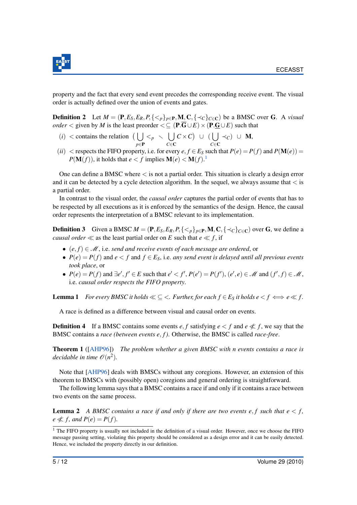

property and the fact that every send event precedes the corresponding receive event. The visual order is actually defined over the union of events and gates.

**Definition 2** Let  $M = (\mathbf{P}, E_S, E_R, P, \{<_p\}_{p \in \mathbf{P}}, \mathbf{M}, \mathbf{C}, \{<_c\}_{c \in \mathbf{C}})$  be a BMSC over G. A *visual order* < given by *M* is the least preorder <  $\subseteq$  (P. $\overline{G} \cup E$ ) × (P. $\underline{G} \cup E$ ) such that

- $(i)$  < contains the relation  $\left( \begin{array}{c} 1 \end{array} \right)$ *p*∈P  $\langle p \rangle \setminus |$ *C*∈C  $C \times C$  U ( *C*∈C ≺*C*) ∪ M,
- (*ii*) < respects the FIFO property, i.e. for every  $e, f \in E_S$  such that  $P(e) = P(f)$  and  $P(\mathbf{M}(e)) =$  $P(\mathbf{M}(f))$ , it holds that  $e < f$  implies  $\mathbf{M}(e) < \mathbf{M}(f)$ .<sup>[1](#page-6-0)</sup>

One can define a BMSC where  $\lt$  is not a partial order. This situation is clearly a design error and it can be detected by a cycle detection algorithm. In the sequel, we always assume that  $\lt$  is a partial order.

In contrast to the visual order, the *causal order* captures the partial order of events that has to be respected by all executions as it is enforced by the semantics of the design. Hence, the causal order represents the interpretation of a BMSC relevant to its implementation.

<span id="page-6-2"></span>**Definition 3** Given a BMSC  $M = (\mathbf{P}, E_S, E_R, P, \{<_p\}_{p \in \mathbf{P}}, \mathbf{M}, \mathbf{C}, \{<_c\}_{c \in \mathbf{C}})$  over G, we define a *causal order*  $\ll$  as the least partial order on *E* such that  $e \ll f$ , if

- (*e*, *f*) ∈ M, i.e. *send and receive events of each message are ordered*, or
- $P(e) = P(f)$  and  $e < f$  and  $f \in E_S$ , i.e. *any send event is delayed until all previous events took place*, or
- $P(e) = P(f)$  and  $\exists e', f' \in E$  such that  $e' < f', P(e') = P(f'), (e', e) \in \mathcal{M}$  and  $(f', f) \in \mathcal{M}$ , i.e. *causal order respects the FIFO property*.

<span id="page-6-1"></span>**Lemma 1** *For every BMSC it holds*  $\ll \leq$  <*. Further, for each*  $f \in E_S$  *it holds*  $e \lt f \iff e \ll f$ .

A race is defined as a difference between visual and causal order on events.

**Definition 4** If a BMSC contains some events *e*, *f* satisfying  $e \le f$  and  $e \ll f$ , we say that the BMSC contains a *race (between events e*, *f )*. Otherwise, the BMSC is called *race-free*.

<span id="page-6-3"></span>Theorem 1 ([\[AHP96\]](#page-13-1)) *The problem whether a given BMSC with n events contains a race is decidable in time*  $\mathcal{O}(n^2)$ .

Note that [\[AHP96\]](#page-13-1) deals with BMSCs without any coregions. However, an extension of this theorem to BMSCs with (possibly open) coregions and general ordering is straightforward.

The following lemma says that a BMSC contains a race if and only if it contains a race between two events on the same process.

<span id="page-6-4"></span>**Lemma 2** A BMSC contains a race if and only if there are two events e, f such that  $e < f$ ,  $e \notin f$ , and  $P(e) = P(f)$ .

<span id="page-6-0"></span><sup>&</sup>lt;sup>1</sup> The FIFO property is usually not included in the definition of a visual order. However, once we choose the FIFO message passing setting, violating this property should be considered as a design error and it can be easily detected. Hence, we included the property directly in our definition.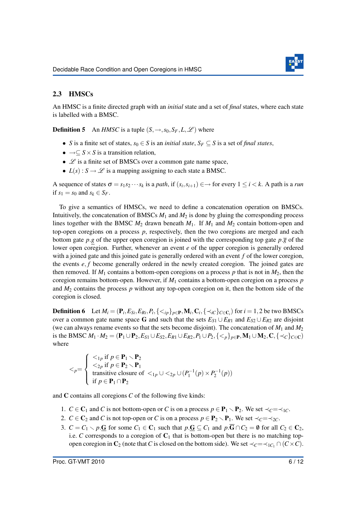

### 2.3 HMSCs

An HMSC is a finite directed graph with an *initial* state and a set of *final* states, where each state is labelled with a BMSC.

**Definition 5** An *HMSC* is a tuple  $(S, \rightarrow, s_0, S_F, L, \mathcal{L})$  where

- *S* is a finite set of states,  $s_0 \in S$  is an *initial state*,  $S_F \subset S$  is a set of *final states*,
- $\rightarrow \subseteq S \times S$  is a transition relation,
- $\mathscr L$  is a finite set of BMSCs over a common gate name space,
- $L(s)$ :  $S \rightarrow \mathcal{L}$  is a mapping assigning to each state a BMSC.

A sequence of states  $\sigma = s_1 s_2 \cdots s_k$  is a *path*, if  $(s_i, s_{i+1}) \in \rightarrow$  for every  $1 \le i \le k$ . A path is a *run* if  $s_1 = s_0$  and  $s_k \in S_F$ .

To give a semantics of HMSCs, we need to define a concatenation operation on BMSCs. Intuitively, the concatenation of BMSCs  $M_1$  and  $M_2$  is done by gluing the corresponding process lines together with the BMSC  $M_2$  drawn beneath  $M_1$ . If  $M_1$  and  $M_2$  contain bottom-open and top-open coregions on a process *p*, respectively, then the two coregions are merged and each bottom gate *p*.*g* of the upper open coregion is joined with the corresponding top gate  $p.\overline{g}$  of the lower open coregion. Further, whenever an event *e* of the upper coregion is generally ordered with a joined gate and this joined gate is generally ordered with an event *f* of the lower coregion, the events *e*, *f* become generally ordered in the newly created coregion. The joined gates are then removed. If  $M_1$  contains a bottom-open coregions on a process p that is not in  $M_2$ , then the coregion remains bottom-open. However, if *M*<sup>1</sup> contains a bottom-open coregion on a process *p* and  $M_2$  contains the process  $p$  without any top-open coregion on it, then the bottom side of the coregion is closed.

**Definition 6** Let  $M_i = (\mathbf{P}_i, E_{Si}, E_{Ri}, P_i, \{<_{ip}\}_{p \in \mathbf{P}}, \mathbf{M}_i, \mathbf{C}_i, \{<_{iC}\}_{C \in \mathbf{C}_i}$  for  $i = 1, 2$  be two BMSCs over a common gate name space G and such that the sets  $E_{S1} \cup E_{R1}$  and  $E_{S2} \cup E_{R2}$  are disjoint (we can always rename events so that the sets become disjoint). The concatenation of  $M_1$  and  $M_2$ is the BMSC  $M_1 \cdot M_2 = (\mathbf{P}_1 \cup \mathbf{P}_2, E_{S1} \cup E_{S2}, E_{R1} \cup E_{R2}, P_1 \cup P_2, \{<_p\}_{p \in \mathbf{P}}, M_1 \cup M_2, C, \{<_c\}_{c \in \mathbf{C}})$ where

$$
\langle p = \begin{cases} <_{1p} \text{ if } p \in \mathbf{P}_1 \setminus \mathbf{P}_2 \\ <_{2p} \text{ if } p \in \mathbf{P}_2 \setminus \mathbf{P}_1 \\ & \text{transitive closure of } <_{1p} \cup \langle p_1^{-1}(p) \times p_2^{-1}(p) \rangle \\ & \text{if } p \in \mathbf{P}_1 \cap \mathbf{P}_2 \end{cases}
$$

and C contains all coregions *C* of the following five kinds:

- 1. *C* ∈ **C**<sub>1</sub> and *C* is not bottom-open or *C* is on a process  $p \in \mathbf{P}_1 \setminus \mathbf{P}_2$ . We set  $\prec_C = \prec_{1} C$ .
- 2. *C* ∈ C<sub>2</sub> and *C* is not top-open or *C* is on a process  $p \in P_2 \setminus P_1$ . We set  $\prec_C = \prec_{2} C$ .
- 3.  $C = C_1 \setminus p$ .G for some  $C_1 \in \mathbb{C}_1$  such that  $p \cdot \mathbb{G} \subseteq C_1$  and  $p \cdot \overline{\mathbb{G}} \cap C_2 = \emptyset$  for all  $C_2 \in \mathbb{C}_2$ , i.e.  $C$  corresponds to a coregion of  $C_1$  that is bottom-open but there is no matching topopen coregion in  $C_2$  (note that *C* is closed on the bottom side). We set  $\prec_C = \prec_{1}C_1 \cap (C \times C)$ .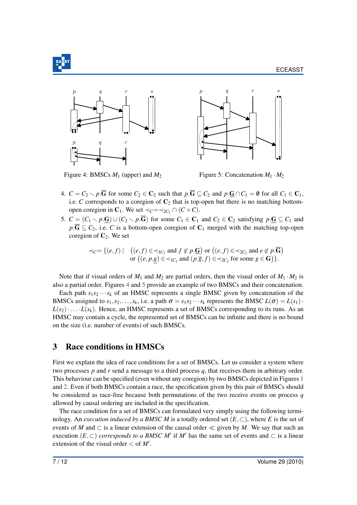

<span id="page-8-1"></span>



Figure 4: BMSCs  $M_1$  (upper) and  $M_2$ 



- 4.  $C = C_2 \setminus p \cdot \overline{G}$  for some  $C_2 \in C_2$  such that  $p \cdot \overline{G} \subseteq C_2$  and  $p \cdot \underline{G} \cap C_1 = \emptyset$  for all  $C_1 \in C_1$ , i.e. *C* corresponds to a coregion of  $C_2$  that is top-open but there is no matching bottomopen coregion in  $C_1$ . We set  $\prec_C = \prec_{2C_2} \cap (C \times C)$ .
- 5.  $C = (C_1 \setminus p \cdot \mathbf{G}) \cup (C_2 \setminus p \cdot \overline{\mathbf{G}})$  for some  $C_1 \in \mathbf{C}_1$  and  $C_2 \in \mathbf{C}_2$  satisfying  $p \cdot \mathbf{G} \subseteq C_1$  and  $p.\overline{G} \subseteq C_2$ , i.e. *C* is a bottom-open coregion of  $C_1$  merged with the matching top-open coregion of  $C_2$ . We set

$$
\prec_C = \{ (e, f) \mid \begin{array}{c} \big( (e, f) \in \prec_{1C_1} \text{ and } f \notin p. \underline{\mathbf{G}} \big) \text{ or } \big( (e, f) \in \prec_{2C_2} \text{ and } e \notin p. \overline{\mathbf{G}} \big) \\ \text{or } \big( (e, p. g) \in \prec_{1C_1} \text{ and } (p. \overline{g}, f) \in \prec_{2C_2} \text{ for some } g \in \mathbf{G} \big) \}. \end{array}
$$

Note that if visual orders of  $M_1$  and  $M_2$  are partial orders, then the visual order of  $M_1 \cdot M_2$  is also a partial order. Figures [4](#page-8-1) and [5](#page-8-1) provide an example of two BMSCs and their concatenation.

Each path  $s_1 s_2 \cdots s_k$  of an HMSC represents a single BMSC given by concatenation of the BMSCs assigned to  $s_1, s_2, \ldots, s_k$ , i.e. a path  $\sigma = s_1 s_2 \cdots s_k$  represents the BMSC  $L(\sigma) = L(s_1) \cdots$  $L(s_2)$ ·... *L*( $s_k$ ). Hence, an HMSC represents a set of BMSCs corresponding to its runs. As an HMSC may contain a cycle, the represented set of BMSCs can be infinite and there is no bound on the size (i.e. number of events) of such BMSCs.

## <span id="page-8-0"></span>3 Race conditions in HMSCs

First we explain the idea of race conditions for a set of BMSCs. Let us consider a system where two processes *p* and *r* send a message to a third process *q*, that receives them in arbitrary order. This behaviour can be specified (even without any coregion) by two BMSCs depicted in Figures [1](#page-3-0) and [2.](#page-3-0) Even if both BMSCs contain a race, the specification given by this pair of BMSCs should be considered as race-free because both permutations of the two receive events on process *q* allowed by causal ordering are included in the specification.

The race condition for a set of BMSCs can formulated very simply using the following terminology. An *execution induced by a BMSC M* is a totally ordered set  $(E, \subset)$ , where *E* is the set of events of *M* and  $\subset$  is a linear extension of the causal order  $\ll$  given by *M*. We say that such an execution  $(E, \subset)$  *corresponds to a BMSC M'* if *M'* has the same set of events and  $\subset$  is a linear extension of the visual order  $<$  of  $M'$ .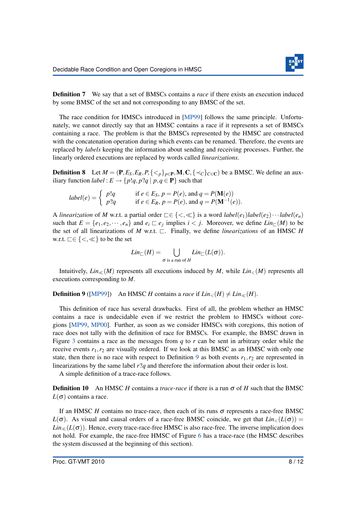

**Definition 7** We say that a set of BMSCs contains a *race* if there exists an execution induced by some BMSC of the set and not corresponding to any BMSC of the set.

The race condition for HMSCs introduced in [\[MP99\]](#page-13-3) follows the same principle. Unfortunately, we cannot directly say that an HMSC contains a race if it represents a set of BMSCs containing a race. The problem is that the BMSCs represented by the HMSC are constructed with the concatenation operation during which events can be renamed. Therefore, the events are replaced by *labels* keeping the information about sending and receiving processes. Further, the linearly ordered executions are replaced by words called *linearizations*.

**Definition 8** Let  $M = (\mathbf{P}, E_S, E_R, P, \{<_p\}_{p \in \mathbf{P}}, \mathbf{M}, \mathbf{C}, \{<_c\}_{c \in \mathbf{C}})$  be a BMSC. We define an auxiliary function *label* :  $E \rightarrow \{p!q, p?q \mid p, q \in \mathbf{P}\}\$  such that

$$
label(e) = \begin{cases} p!q & \text{if } e \in E_S, p = P(e), \text{ and } q = P(\mathbf{M}(e)) \\ p?q & \text{if } e \in E_R, p = P(e), \text{ and } q = P(\mathbf{M}^{-1}(e)). \end{cases}
$$

A *linearization* of *M* w.r.t. a partial order  $\subseteq \{<,\leqslant\}$  is a word  $label(e_1)$ *label*( $e_2$ )···*label*( $e_n$ ) such that  $E = \{e_1, e_2, \dots, e_n\}$  and  $e_i \sqsubset e_j$  implies  $i < j$ . Moreover, we define  $Lin_{\sqsubset}(M)$  to be the set of all linearizations of  $M$  w.r.t.  $\Box$ . Finally, we define *linearizations* of an HMSC  $H$ w.r.t.  $\Box \in \{ \lt, \ll \}$  to be the set

$$
Lin_{\square}(H) = \bigcup_{\sigma \text{ is a run of } H} Lin_{\square}(L(\sigma)).
$$

Intuitively,  $Lin_{\ll}(M)$  represents all executions induced by *M*, while  $Lin_{\lt}(M)$  represents all executions corresponding to *M*.

<span id="page-9-0"></span>**Definition 9** ([\[MP99\]](#page-13-3)) An HMSC *H* contains a *race* if  $\text{Lin}_{\le}(H) \neq \text{Lin}_{\le}(H)$ .

This definition of race has several drawbacks. First of all, the problem whether an HMSC contains a race is undecidable even if we restrict the problem to HMSCs without coregions [\[MP99,](#page-13-3) [MP00\]](#page-13-9). Further, as soon as we consider HMSCs with coregions, this notion of race does not tally with the definition of race for BMSCs. For example, the BMSC drawn in Figure [3](#page-3-0) contains a race as the messages from *q* to *r* can be sent in arbitrary order while the receive events  $r_1, r_2$  are visually ordered. If we look at this BMSC as an HMSC with only one state, then there is no race with respect to Definition [9](#page-9-0) as both events  $r_1, r_2$  are represented in linearizations by the same label *r*?*q* and therefore the information about their order is lost.

A simple definition of a trace-race follows.

**Definition 10** An HMSC *H* contains a *trace-race* if there is a run  $\sigma$  of *H* such that the BMSC  $L(\sigma)$  contains a race.

If an HMSC  $H$  contains no trace-race, then each of its runs  $\sigma$  represents a race-free BMSC  $L(\sigma)$ . As visual and causal orders of a race-free BMSC coincide, we get that  $Lin<sub>></sub>(L(\sigma)) =$  $Lin\ll L(\sigma)$ ). Hence, every trace-race-free HMSC is also race-free. The inverse implication does not hold. For example, the race-free HMSC of Figure [6](#page-10-1) has a trace-race (the HMSC describes the system discussed at the beginning of this section).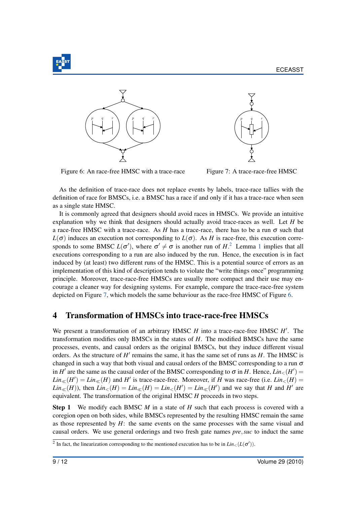

<span id="page-10-1"></span>

Figure 6: An race-free HMSC with a trace-race



Figure 7: A trace-race-free HMSC

As the definition of trace-race does not replace events by labels, trace-race tallies with the definition of race for BMSCs, i.e. a BMSC has a race if and only if it has a trace-race when seen as a single state HMSC.

It is commonly agreed that designers should avoid races in HMSCs. We provide an intuitive explanation why we think that designers should actually avoid trace-races as well. Let *H* be a race-free HMSC with a trace-race. As *H* has a trace-race, there has to be a run  $\sigma$  such that  $L(\sigma)$  induces an execution not corresponding to  $L(\sigma)$ . As *H* is race-free, this execution corresponds to some BMSC  $L(\sigma')$ , where  $\sigma' \neq \sigma$  is another run of  $H<sup>2</sup>$  $H<sup>2</sup>$  $H<sup>2</sup>$ . Lemma [1](#page-6-1) implies that all executions corresponding to a run are also induced by the run. Hence, the execution is in fact induced by (at least) two different runs of the HMSC. This is a potential source of errors as an implementation of this kind of description tends to violate the "write things once" programming principle. Moreover, trace-race-free HMSCs are usually more compact and their use may encourage a cleaner way for designing systems. For example, compare the trace-race-free system depicted on Figure [7,](#page-10-1) which models the same behaviour as the race-free HMSC of Figure [6.](#page-10-1)

## <span id="page-10-0"></span>4 Transformation of HMSCs into trace-race-free HMSCs

We present a transformation of an arbitrary HMSC *H* into a trace-race-free HMSC *H'*. The transformation modifies only BMSCs in the states of *H*. The modified BMSCs have the same processes, events, and causal orders as the original BMSCs, but they induce different visual orders. As the structure of *H'* remains the same, it has the same set of runs as *H*. The HMSC is changed in such a way that both visual and causal orders of the BMSC corresponding to a run  $\sigma$ in *H*' are the same as the causal order of the BMSC corresponding to  $\sigma$  in *H*. Hence,  $Lin_{\leq}(H') =$  $\text{Lin}_{\ll}(H') = \text{Lin}_{\ll}(H)$  and *H*<sup> $\prime$ </sup> is trace-race-free. Moreover, if *H* was race-free (i.e. *Lin*<sub><</sub>(*H*) =  $Lin_{\ll}(H)$ ), then  $Lin_{\lt}(H) = Lin_{\ll}(H) = Lin_{\lt}(H') = Lin_{\ll}(H')$  and we say that *H* and *H'* are equivalent. The transformation of the original HMSC *H* proceeds in two steps.

Step 1 We modify each BMSC *M* in a state of *H* such that each process is covered with a coregion open on both sides, while BMSCs represented by the resulting HMSC remain the same as those represented by *H*: the same events on the same processes with the same visual and causal orders. We use general orderings and two fresh gate names *pre*,*suc* to induct the same

<span id="page-10-2"></span><sup>&</sup>lt;sup>2</sup> In fact, the linearization corresponding to the mentioned execution has to be in  $\text{Lin}_{\leq}(L(\sigma'))$ .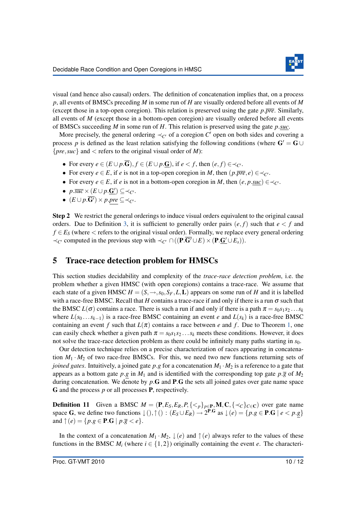

visual (and hence also causal) orders. The definition of concatenation implies that, on a process *p*, all events of BMSCs preceding *M* in some run of *H* are visually ordered before all events of *M* (except those in a top-open coregion). This relation is preserved using the gate *p*.*pre*. Similarly, all events of *M* (except those in a bottom-open coregion) are visually ordered before all events of BMSCs succeeding *M* in some run of *H*. This relation is preserved using the gate *p*.*suc*.

More precisely, the general ordering  $\prec_{C'}$  of a coregion  $C'$  open on both sides and covering a process *p* is defined as the least relation satisfying the following conditions (where  $G' = G \cup$  ${pre, suc}$  and  $<$  refers to the original visual order of *M*):

- For every  $e \in (E \cup p \cdot \overline{G})$ ,  $f \in (E \cup p \cdot G)$ , if  $e < f$ , then  $(e, f) \in \prec_{C'}$ .
- For every  $e \in E$ , if  $e$  is not in a top-open coregion in *M*, then  $(p.\overline{pre}, e) \in \prec_{C'}$ .
- For every  $e \in E$ , if  $e$  is not in a bottom-open coregion in *M*, then  $(e, p, suc) \in \prec_{C'}$ .
- $p.\overline{succ} \times (E \cup p.\underline{\mathbf{G'}}) \subseteq \prec_{C'}$ .
- $\bullet$   $(E \cup p.\overline{G'}) \times p.\textit{pre} \subseteq \prec_{C'}$ .

Step 2 We restrict the general orderings to induce visual orders equivalent to the original causal orders. Due to Definition [3,](#page-6-2) it is sufficient to generally order pairs  $(e, f)$  such that  $e < f$  and  $f \in E_S$  (where  $\lt$  refers to the original visual order). Formally, we replace every general ordering  $\prec_{C'}$  computed in the previous step with  $\prec_{C'} \cap ((\mathbf{P} \cdot \overline{\mathbf{G}'} \cup E) \times (\mathbf{P} \cdot \mathbf{G}' \cup E_s)).$ 

## <span id="page-11-0"></span>5 Trace-race detection problem for HMSCs

This section studies decidability and complexity of the *trace-race detection problem*, i.e. the problem whether a given HMSC (with open coregions) contains a trace-race. We assume that each state of a given HMSC  $H = (S, \rightarrow, s_0, S_F, L, L)$  appears on some run of *H* and it is labelled with a race-free BMSC. Recall that *H* contains a trace-race if and only if there is a run  $\sigma$  such that the BMSC  $L(\sigma)$  contains a race. There is such a run if and only if there is a path  $\pi = s_0 s_1 s_2 \dots s_k$ where  $L(s_0 \ldots s_{k-1})$  is a race-free BMSC containing an event *e* and  $L(s_k)$  is a race-free BMSC containing an event *f* such that  $L(\pi)$  contains a race between *e* and *f*. Due to Theorem [1,](#page-6-3) one can easily check whether a given path  $\pi = s_0 s_1 s_2 \dots s_k$  meets these conditions. However, it does not solve the trace-race detection problem as there could be infinitely many paths starting in  $s<sub>0</sub>$ .

Our detection technique relies on a precise characterization of races appearing in concatenation  $M_1 \cdot M_2$  of two race-free BMSCs. For this, we need two new functions returning sets of *joined gates*. Intuitively, a joined gate  $p.g$  for a concatenation  $M_1 \cdot M_2$  is a reference to a gate that appears as a bottom gate  $p.g$  in  $M_1$  and is identified with the corresponding top gate  $p.\overline{g}$  of  $M_2$ during concatenation. We denote by *p*.G and P.G the sets all joined gates over gate name space G and the process *p* or all processes P, respectively.

**Definition 11** Given a BMSC  $M = (\mathbf{P}, E_S, E_R, P, \{<_p\}_{p \in \mathbf{P}}, \mathbf{M}, \mathbf{C}, \{<_C\}_{C \in \mathbf{C}})$  over gate name space G, we define two functions  $\downarrow$  (),  $\uparrow$  () :  $(E_S \cup E_R) \rightarrow 2^{P.G}$  as  $\downarrow$  (*e*) = { $p.g \in P.G \mid e < p.g$ } and  $\uparrow$  (*e*) = {*p*.*g*  $\in$  **P.G** | *p*.*g*  $\lt e$ }.

In the context of a concatenation  $M_1 \cdot M_2$ ,  $\downarrow (e)$  and  $\uparrow (e)$  always refer to the values of these functions in the BMSC  $M_i$  (where  $i \in \{1,2\}$ ) originally containing the event *e*. The characteri-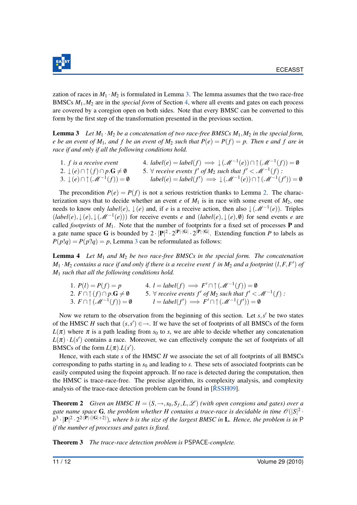

zation of races in  $M_1 \cdot M_2$  is formulated in Lemma [3.](#page-12-0) The lemma assumes that the two race-free BMSCs *M*1,*M*<sup>2</sup> are in the *special form* of Section [4,](#page-10-0) where all events and gates on each process are covered by a coregion open on both sides. Note that every BMSC can be converted to this form by the first step of the transformation presented in the previous section.

<span id="page-12-0"></span>**Lemma 3** Let  $M_1 \cdot M_2$  be a concatenation of two race-free BMSCs  $M_1, M_2$  in the special form, *e* be an event of  $M_1$ , and f be an event of  $M_2$  such that  $P(e) = P(f) = p$ . Then e and f are in *race if and only if all the following conditions hold.*

| 1. $f$ is a receive event                                           | 4. $label(e) = label(f) \implies \downarrow (\mathcal{M}^{-1}(e)) \cap \uparrow (\mathcal{M}^{-1}(f)) = \emptyset$ |
|---------------------------------------------------------------------|--------------------------------------------------------------------------------------------------------------------|
| 2. $\downarrow$ (e) $\cap \uparrow$ (f) $\cap p$ G $\neq \emptyset$ | 5. $\forall$ receive events $f'$ of $M_2$ such that $f' < \mathcal{M}^{-1}(f)$ :                                   |
| 3. $\downarrow$ (e) $\cap \uparrow$ ( $\mathscr{M}^{-1}(f)$ ) = 0   | $label(e) = label(f') \implies \downarrow (\mathcal{M}^{-1}(e)) \cap \uparrow (\mathcal{M}^{-1}(f')) = \emptyset$  |

The precondition  $P(e) = P(f)$  is not a serious restriction thanks to Lemma [2.](#page-6-4) The characterization says that to decide whether an event *e* of  $M_1$  is in race with some event of  $M_2$ , one needs to know only  $label(e)$ ,  $\downarrow(e)$  and, if *e* is a receive action, then also  $\downarrow(\mathcal{M}^{-1}(e))$ . Triples  $(label(e), \downarrow (e), \downarrow (\mathscr{M}^{-1}(e)))$  for receive events *e* and  $(label(e), \downarrow (e), \emptyset)$  for send events *e* are called *footprints* of  $M_1$ . Note that the number of footprints for a fixed set of processes **P** and a gate name space G is bounded by  $2 \cdot |P|^2 \cdot 2^{|P| \cdot |G|} \cdot 2^{|P| \cdot |G|}$ . Extending function P to labels as  $P(p!q) = P(p?q) = p$ , Lemma [3](#page-12-0) can be reformulated as follows:

Lemma 4 *Let M*<sup>1</sup> *and M*<sup>2</sup> *be two race-free BMSCs in the special form. The concatenation*  $M_1 \cdot M_2$  *contains a race if and only if there is a receive event f in*  $M_2$  *and a footprint*  $(l, F, F')$  *of M*<sup>1</sup> *such that all the following conditions hold.*

1.  $P(l) = P(f) = p$  4.  $l = label(f) \implies F' \cap \uparrow (\mathcal{M}^{-1}(f)) = \emptyset$ 2.  $F \cap \uparrow (f) \cap p \cdot G \neq \emptyset$  5.  $\forall$  *receive events f' of*  $M_2$  *such that f'* <  $\mathscr{M}^{-1}(f)$  *:* 3.  $F \cap \uparrow (\mathcal{M}^{-1}(f)) = \emptyset$   $l = label(f') \implies F' \cap \uparrow (\mathcal{M}^{-1}(f')) = \emptyset$ 

Now we return to the observation from the beginning of this section. Let  $s, s'$  be two states of the HMSC *H* such that  $(s, s') \in \rightarrow$ . If we have the set of footprints of all BMSCs of the form  $L(\pi)$  where  $\pi$  is a path leading from  $s_0$  to *s*, we are able to decide whether any concatenation  $L(\pi) \cdot L(s')$  contains a race. Moreover, we can effectively compute the set of footprints of all BMSCs of the form  $L(\pi)$ . $L(s')$ .

Hence, with each state *s* of the HMSC *H* we associate the set of all footprints of all BMSCs corresponding to paths starting in  $s<sub>0</sub>$  and leading to *s*. These sets of associated footprints can be easily computed using the fixpoint approach. If no race is detected during the computation, then the HMSC is trace-race-free. The precise algorithm, its complexity analysis, and complexity analysis of the trace-race detection problem can be found in  $[\text{R}SSH09]$ .

**Theorem 2** *Given an HMSC H* =  $(S, \rightarrow, s_0, S_f, L, \mathcal{L})$  (with open coregions and gates) over a gate name space **G**, the problem whether H contains a trace-race is decidable in time  $\mathscr{O}(|S|^2 \cdot$  $b^3 \cdot |P|^2 \cdot 2^{2\cdot |P|\cdot(|G|+2)}$ , where *b* is the size of the largest BMSC in **L**. Hence, the problem is in P *if the number of processes and gates is fixed.*

Theorem 3 *The trace-race detection problem is* PSPACE*-complete.*